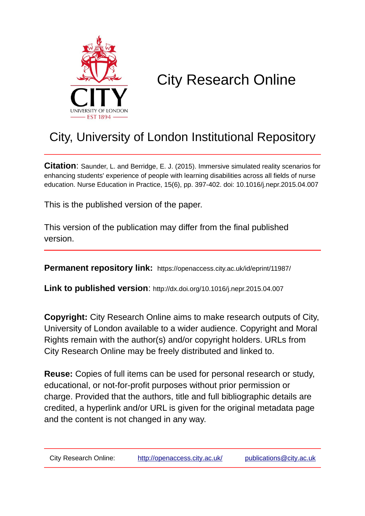

# City Research Online

## City, University of London Institutional Repository

**Citation**: Saunder, L. and Berridge, E. J. (2015). Immersive simulated reality scenarios for enhancing students' experience of people with learning disabilities across all fields of nurse education. Nurse Education in Practice, 15(6), pp. 397-402. doi: 10.1016/j.nepr.2015.04.007

This is the published version of the paper.

This version of the publication may differ from the final published version.

**Permanent repository link:** https://openaccess.city.ac.uk/id/eprint/11987/

**Link to published version**: http://dx.doi.org/10.1016/j.nepr.2015.04.007

**Copyright:** City Research Online aims to make research outputs of City, University of London available to a wider audience. Copyright and Moral Rights remain with the author(s) and/or copyright holders. URLs from City Research Online may be freely distributed and linked to.

**Reuse:** Copies of full items can be used for personal research or study, educational, or not-for-profit purposes without prior permission or charge. Provided that the authors, title and full bibliographic details are credited, a hyperlink and/or URL is given for the original metadata page and the content is not changed in any way.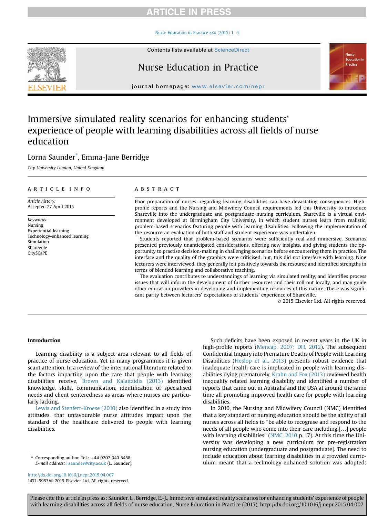Nurse Education in Practice xxx (2015)  $1-6$  $1-6$ 

Contents lists available at ScienceDirect

### Nurse Education in Practice

journal homepage: [www.elsevier.com/nepr](http://www.elsevier.com/nepr)

### Immersive simulated reality scenarios for enhancing students' experience of people with learning disabilities across all fields of nurse education

### Lorna Saunder\* , Emma-Jane Berridge

City University London, United Kingdom

### article info

Article history: Accepted 27 April 2015

Keywords: Nursing Experiential learning Technology-enhanced learning Simulation Shareville **CitySCaPE** 

### **ABSTRACT**

Poor preparation of nurses, regarding learning disabilities can have devastating consequences. Highprofile reports and the Nursing and Midwifery Council requirements led this University to introduce Shareville into the undergraduate and postgraduate nursing curriculum. Shareville is a virtual environment developed at Birmingham City University, in which student nurses learn from realistic, problem-based scenarios featuring people with learning disabilities. Following the implementation of the resource an evaluation of both staff and student experience was undertaken.

Students reported that problem-based scenarios were sufficiently real and immersive. Scenarios presented previously unanticipated considerations, offering new insights, and giving students the opportunity to practise decision-making in challenging scenarios before encountering them in practice. The interface and the quality of the graphics were criticised, but, this did not interfere with learning. Nine lecturers were interviewed, they generally felt positively towards the resource and identified strengths in terms of blended learning and collaborative teaching.

The evaluation contributes to understandings of learning via simulated reality, and identifies process issues that will inform the development of further resources and their roll-out locally, and may guide other education providers in developing and implementing resources of this nature. There was significant parity between lecturers' expectations of students' experience of Shareville.

© 2015 Elsevier Ltd. All rights reserved.

### Introduction

Learning disability is a subject area relevant to all fields of practice of nurse education. Yet in many programmes it is given scant attention. In a review of the international literature related to the factors impacting upon the care that people with learning disabilities receive, [Brown and Kalaitzidis \(2013\)](#page-6-0) identified knowledge, skills, communication, identification of specialised needs and client centeredness as areas where nurses are particularly lacking.

[Lewis and Stenfert-Kroese \(2010\)](#page-6-0) also identified in a study into attitudes, that unfavourable nurse attitudes impact upon the standard of the healthcare delivered to people with learning disabilities.

Corresponding author. Tel.:  $+44$  0207 040 5458. E-mail address: [l.saunder@city.ac.uk](mailto:l.saunder@city.ac.uk) (L. Saunder).

<http://dx.doi.org/10.1016/j.nepr.2015.04.007> 1471-5953/© 2015 Elsevier Ltd. All rights reserved.

Such deficits have been exposed in recent years in the UK in high-profile reports ([Mencap, 2007; DH, 2012\)](#page-6-0). The subsequent Confidential Inquiry into Premature Deaths of People with Learning Disabilities ([Heslop et al., 2013](#page-6-0)) presents robust evidence that inadequate health care is implicated in people with learning disabilities dying prematurely. [Krahn and Fox \(2013\)](#page-6-0) reviewed health inequality related learning disability and identified a number of reports that came out in Australia and the USA at around the same time all promoting improved health care for people with learning disabilities.

In 2010, the Nursing and Midwifery Council (NMC) identified that a key standard of nursing education should be the ability of all nurses across all fields to "be able to recognise and respond to the needs of all people who come into their care including […] people with learning disabilities" [\(NMC, 2010](#page-6-0) p. 17). At this time the University was developing a new curriculum for pre-registration nursing education (undergraduate and postgraduate). The need to include education about learning disabilities in a crowded curriculum meant that a technology-enhanced solution was adopted: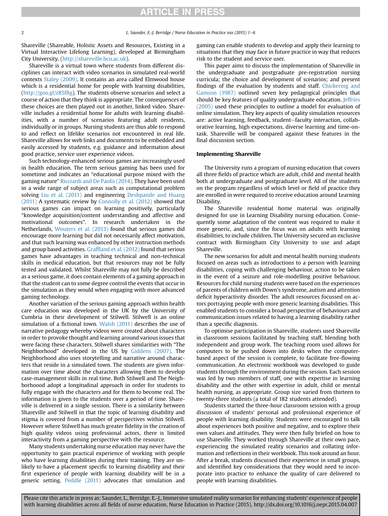Shareville (Shareable, Holistic Assets and Resources, Existing in a Virtual Interactive Lifelong Learning), developed at Birmingham City University, ([http://shareville.bcu.ac.uk\)](http://shareville.bcu.ac.uk).

Shareville is a virtual town where students from different disciplines can interact with video scenarios in simulated real-world contexts [Staley \(2009\)](#page-6-0). It contains an area called Elmwood house which is a residential home for people with learning disabilities, (<http://goo.gl/z85f8g>). The students observe scenarios and select a course of action that they think is appropriate. The consequences of these choices are then played out in another, linked video. Shareville includes a residential home for adults with learning disabilities, with a number of scenarios featuring adult residents, individually or in groups. Nursing students are thus able to respond to and reflect on lifelike scenarios not encountered in real life. Shareville allows for web links and documents to be embedded and easily accessed by students, e.g. guidance and information about good practice, service user experience videos.

Such technology-enhanced serious games are increasingly used in health education. The term serious gaming has been used for sometime and indicates an "educational purpose mixed with the gaming nature" [Ricciardi and De Paolis \(2014\).](#page-6-0) They have been used in a wide range of subject areas such as computational problem solving [Liu et al. \(2011\)](#page-6-0) and engineering [Deshpande and Huang](#page-6-0) [\(2011\)](#page-6-0) A systematic review by [Connolly et al. \(2012\)](#page-6-0) showed that serious games can impact on learning positively, particularly "knowledge acquisition/content understanding and affective and motivational outcomes". In research undertaken in the Netherlands, [Wouters et al. \(2013\)](#page-6-0) found that serious games did encourage more learning but did not necessarily affect motivation, and that such learning was enhanced by other instruction methods and group based activities. Graffl[and et al. \(2012\)](#page-6-0) found that serious games have advantages in teaching technical and non-technical skills in medical education, but that resources may not be fully tested and validated. Whilst Shareville may not fully be described as a serious game, it does contain elements of a gaming approach in that the student can to some degree control the events that occur in the simulation as they would when engaging with more advanced gaming technology.

Another variation of the serious gaming approach within health care education was developed in the UK by the University of Cumbria in their development of Stilwell. Stilwell is an online simulation of a fictional town. [Walsh \(2011\)](#page-6-0) describes the use of narrative pedagogy whereby videos were created about characters in order to provoke thought and learning around various issues that were facing these characters. Stilwell shares similarities with "The Neighborhood" developed in the US by [Giddens \(2007\).](#page-6-0) The Neighborhood also uses storytelling and narrative around characters that reside in a simulated town. The students are given information over time about the characters allowing them to develop case-management skills in real time. Both Stilwell and The Neighborhoood adopt a longitudinal approach in order for students to fully engage with the characters and for them to become real. The information is given to the students over a period of time. Shareville is delivered in a single session. There is a similarity between Shareville and Stilwell in that the topic of learning disability and stigma is covered from a number of perspectives within Stilwell. However where Stilwell has much greater fidelity in the creation of high quality videos using professional actors, there is limited interactivity from a gaming perspective with the resource.

Many students undertaking nurse education may never have the opportunity to gain practical experience of working with people who have learning disabilities during their training. They are unlikely to have a placement specific to learning disability and their first experience of people with learning disability will be in a generic setting. [Peddle \(2011\)](#page-6-0) advocates that simulation and gaming can enable students to develop and apply their learning to situations that they may face in future practice in way that reduces risk to the student and service user.

This paper aims to discuss the implementation of Shareville in the undergraduate and postgraduate pre-registration nursing curricula; the choice and development of scenarios; and present findings of the evaluation by students and staff. [Chickering and](#page-6-0) [Gamson \(1987\)](#page-6-0) outlined seven key pedagogical principles that should be key features of quality undergraduate education. [Jeffries](#page-6-0) [\(2005\)](#page-6-0) used these principles to outline a model for evaluation of online simulation. They key aspects of quality simulation resources are: active learning, feedback, student-faculty interaction, collaborative learning, high expectations, diverse learning and time-ontask. Shareville will be compared against these features in the final discussion section.

### Implementing Shareville

The University runs a program of nursing education that covers all three fields of practice which are adult, child and mental health both at undergraduate and postgraduate level. All of the students on the program regardless of which level or field of practice they are enrolled in were required to receive education around Learning Disability.

The Shareville residential home material was originally designed for use in Learning Disability nursing education. Consequently some adaptation of the content was required to make it more generic, and, since the focus was on adults with learning disabilities, to include children. The University secured an exclusive contract with Birmingham City University to use and adapt Shareville.

The new scenarios for adult and mental health nursing students focused on areas such as introductions to a person with learning disabilities, coping with challenging behaviour, action to be taken in the event of a seizure and role-modelling positive behaviour. Resources for child nursing students were based on the experiences of parents of children with Down's syndrome, autism and attention deficit hyperactivity disorder. The adult resources focussed on actors portraying people with more generic learning disabilities. This enabled students to consider a broad perspective of behaviours and communication issues related to having a learning disability rather than a specific diagnosis.

To optimise participation in Shareville, students used Shareville in classroom sessions facilitated by teaching staff, blending both independent and group work. The teaching room used allows for computers to be pushed down into desks when the computerbased aspect of the session is complete, to facilitate free-flowing communication. An electronic workbook was developed to guide students through the environment during the session. Each session was led by two members of staff, one with expertise in learning disability and the other with expertise in adult, child or mental health nursing, as appropriate. Group size varied from thirteen to twenty-three students (a total of 182 students attended).

Students started the three-hour classroom session with a group discussion of students' personal and professional experience of people with learning disability. Students were encouraged to talk about experiences both positive and negative, and to explore their own values and attitudes. They were then fully briefed on how to use Shareville. They worked through Shareville at their own pace, experiencing the simulated reality scenarios and collating information and reflections in their workbook. This took around an hour. After a break, students discussed their experience in small groups, and identified key considerations that they would need to incorporate into practice to enhance the quality of care delivered to people with learning disabilities.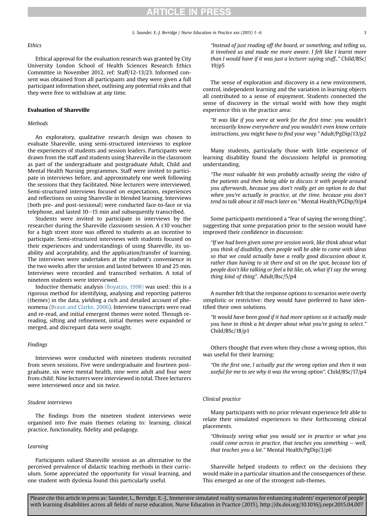### Ethics

Ethical approval for the evaluation research was granted by City University London School of Health Sciences Research Ethics Committee in November 2012, ref: Staff/12-13/23. Informed consent was obtained from all participants and they were given a full participant information sheet, outlining any potential risks and that they were free to withdraw at any time.

### Evaluation of Shareville

### Methods

An exploratory, qualitative research design was chosen to evaluate Shareville, using semi-structured interviews to explore the experiences of students and session leaders. Participants were drawn from the staff and students using Shareville in the classroom as part of the undergraduate and postgraduate Adult, Child and Mental Health Nursing programmes. Staff were invited to participate in interviews before, and approximately one week following the sessions that they facilitated. Nine lecturers were interviewed. Semi-structured interviews focused on expectations, experiences and reflections on using Shareville in blended learning. Interviews (both pre- and post-sessional) were conducted face-to-face or via  $telephone$ , and lasted  $10-15$  min and subsequently transcribed.

Students were invited to participate in interviews by the researcher during the Shareville classroom session. A £10 voucher for a high street store was offered to students as an incentive to participate. Semi-structured interviews with students focused on their experiences and understandings of using Shareville, its usability and acceptability, and the application/transfer of learning. The interviews were undertaken at the student's convenience in the two weeks after the session and lasted between 10 and 25 min. Interviews were recorded and transcribed verbatim. A total of nineteen students were interviewed.

Inductive thematic analysis [\(Boyatzis, 1998\)](#page-6-0) was used: this is a rigorous method for identifying, analysing and reporting patterns (themes) in the data, yielding a rich and detailed account of phenomena ([Braun and Clarke, 2006](#page-6-0)). Interview transcripts were read and re-read, and initial emergent themes were noted. Through rereading, sifting and refinement, initial themes were expanded or merged, and discrepant data were sought.

#### Findings

Interviews were conducted with nineteen students recruited from seven sessions. Five were undergraduate and fourteen postgraduate, six were mental health, nine were adult and four were from child; Nine lecturers were interviewed in total. Three lecturers were interviewed once and six twice.

### Student interviews

The findings from the nineteen student interviews were organised into five main themes relating to: learning, clinical practice, functionality, fidelity and pedagogy.

#### Learning

Participants valued Shareville session as an alternative to the perceived prevalence of didactic teaching methods in their curriculum. Some appreciated the opportunity for visual learning, and one student with dyslexia found this particularly useful.

"Instead of just reading off the board, or something, and telling us, it involved us and made me more aware. I felt like I learnt more than I would have if it was just a lecturer saying stuff.," Child/BSc/ 19/p5

The sense of exploration and discovery in a new environment, control, independent learning and the variation in learning objects all contributed to a sense of enjoyment. Students connected the sense of discovery in the virtual world with how they might experience this in the practice area:

"It was like if you were at work for the first time: you wouldn't necessarily know everywhere and you wouldn't even know certain instructions, you might have to find your way." Adult/PgDip/13/p2

Many students, particularly those with little experience of learning disability found the discussions helpful in promoting understanding.

"The most valuable bit was probably actually seeing the video of the patients and then being able to discuss it with people around you afterwards, because you don't really get an option to do that when you're actually in practice, at the time, because you don't tend to talk about it till much later on." Mental Health/PGDip/9/p4

Some participants mentioned a "fear of saying the wrong thing", suggesting that some preparation prior to the session would have improved their confidence in discussion:

"If we had been given some pre session work, like think about what you think of disability, then people will be able to come with ideas so that we could actually have a really good discussion about it, rather than having to sit there and sit on the spot, because lots of people don't like talking or feel a bit like, oh, what if I say the wrong thing kind of thing". Adult/Bsc/5/p4

A number felt that the response options to scenarios were overly simplistic or restrictive: they would have preferred to have identified their own solutions.

"It would have been good if it had more options so it actually made you have to think a bit deeper about what you're going to select." Child/BSc/18/p1

Others thought that even when they chose a wrong option, this was useful for their learning:

"On the first one, I actually put the wrong option and then it was useful for me to see why it was the wrong option". Child/BSc/17/p4

### Clinical practice

Many participants with no prior relevant experience felt able to relate their simulated experiences to their forthcoming clinical placements.

"Obviously seeing what you would see in practice or what you could come across in practice, that teaches you something  $-$  well, that teaches you a lot." Mental Health/PgDip/3/p6

Shareville helped students to reflect on the decisions they would make in a particular situation and the consequences of these. This emerged as one of the strongest sub-themes.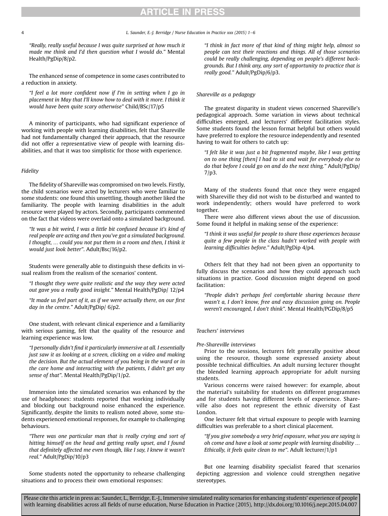L. Saunder, E.-J. Berridge / Nurse Education in Practice xxx (2015)  $1-6$ 

"Really, really useful because I was quite surprised at how much it made me think and I'd then question what I would do." Mental Health/PgDip/8/p2.

The enhanced sense of competence in some cases contributed to a reduction in anxiety.

"I feel a lot more confident now if I'm in setting when I go in placement in May that I'll know how to deal with it more. I think it would have been quite scary otherwise" Child/BSc/17/p5

A minority of participants, who had significant experience of working with people with learning disabilities, felt that Shareville had not fundamentally changed their approach, that the resource did not offer a representative view of people with learning disabilities, and that it was too simplistic for those with experience.

### Fidelity

The fidelity of Shareville was compromised on two levels. Firstly, the child scenarios were acted by lecturers who were familiar to some students: one found this unsettling, though another liked the familiarity. The people with learning disabilities in the adult resource were played by actors. Secondly, participants commented on the fact that videos were overlaid onto a simulated background.

"It was a bit weird, I was a little bit confused because it's kind of real people are acting and then you've got a simulated background. I thought, … could you not put them in a room and then, I think it would just look better". Adult/Bsc/16/p2.

Students were generally able to distinguish these deficits in visual realism from the realism of the scenarios' content.

"I thought they were quite realistic and the way they were acted out gave you a really good insight." Mental Health/PgDip/ 12/p4

"It made us feel part of it, as if we were actually there, on our first day in the centre." Adult/PgDip/ 6/p2.

One student, with relevant clinical experience and a familiarity with serious gaming, felt that the quality of the resource and learning experience was low.

"I personally didn't find it particularly immersive at all. I essentially just saw it as looking at a screen, clicking on a video and making the decision. But the actual element of you being in the ward or in the care home and interacting with the patients, I didn't get any sense of that". Mental Health/PgDip/1/p2.

Immersion into the simulated scenarios was enhanced by the use of headphones: students reported that working individually and blocking out background noise enhanced the experience. Significantly, despite the limits to realism noted above, some students experienced emotional responses, for example to challenging behaviours.

"There was one particular man that is really crying and sort of hitting himself on the head and getting really upset, and I found that definitely affected me even though, like I say, I knew it wasn't real." Adult/PgDip/10/p3

Some students noted the opportunity to rehearse challenging situations and to process their own emotional responses:

"I think in fact more of that kind of thing might help, almost so people can test their reactions and things. All of those scenarios could be really challenging, depending on people's different backgrounds. But I think any, any sort of opportunity to practice that is really good." Adult/PgDip/6/p3.

#### Shareville as a pedagogy

The greatest disparity in student views concerned Shareville's pedagogical approach. Some variation in views about technical difficulties emerged, and lecturers' different facilitation styles. Some students found the lesson format helpful but others would have preferred to explore the resource independently and resented having to wait for others to catch up:

"I felt like it was just a bit fragmented maybe, like I was getting on to one thing [then] I had to sit and wait for everybody else to do that before I could go on and do the next thing." Adult/PgDip/ 7/p3.

Many of the students found that once they were engaged with Shareville they did not wish to be disturbed and wanted to work independently; others would have preferred to work together.

There were also different views about the use of discussion. Some found it helpful in making sense of the experience:

"I think it was useful for people to share those experiences because quite a few people in the class hadn't worked with people with learning difficulties before." Adult/PgDip 4/p4.

Others felt that they had not been given an opportunity to fully discuss the scenarios and how they could approach such situations in practice. Good discussion might depend on good facilitation:

"People didn't perhaps feel comfortable sharing because there wasn't a, I don't know, free and easy discussion going on. People weren't encouraged, I don't think". Mental Health/PGDip/8/p5

### Teachers' interviews

### Pre-Shareville interviews

Prior to the sessions, lecturers felt generally positive about using the resource, though some expressed anxiety about possible technical difficulties. An adult nursing lecturer thought the blended learning approach appropriate for adult nursing students.

Various concerns were raised however: for example, about the material's suitability for students on different programmes and for students having different levels of experience. Shareville also does not represent the ethnic diversity of East London.

One lecturer felt that virtual exposure to people with learning difficulties was preferable to a short clinical placement.

"If you give somebody a very brief exposure, what you are saying is oh come and have a look at some people with learning disability … Ethically, it feels quite clean to me". Adult lecturer/1/p1

But one learning disability specialist feared that scenarios depicting aggression and violence could strengthen negative stereotypes.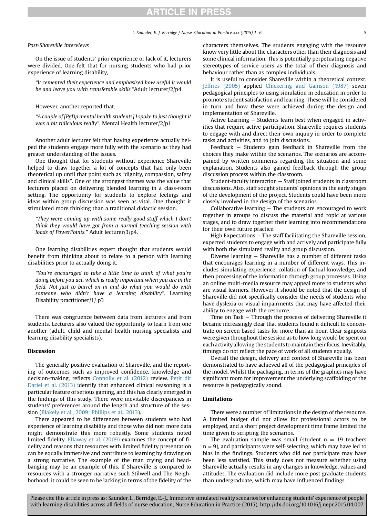### Post-Shareville interviews

On the issue of students' prior experience or lack of it, lecturers were divided. One felt that for nursing students who had prior experience of learning disability,

"It cemented their experience and emphasised how useful it would be and leave you with transferable skills."Adult lecturer/2/p4

#### However, another reported that.

"A couple of [PgDp mental health students] I spoke to just thought it was a bit ridiculous really". Mental Health lecturer/2/p1

Another adult lecturer felt that having experience actually helped the students engage more fully with the scenario as they had greater understanding of the issues.

One thought that for students without experience Shareville helped to draw together a lot of concepts that had only been theoretical up until that point such as "dignity, compassion, safety and clinical skills". One of the strongest themes was the value that lecturers placed on delivering blended learning in a class-room setting. The opportunity for students to explore feelings and ideas within group discussion was seen as vital. One thought it stimulated more thinking than a traditional didactic session.

"They were coming up with some really good stuff which I don't think they would have got from a normal teaching session with loads of PowerPoints." Adult lecturer/3/p4.

One learning disabilities expert thought that students would benefit from thinking about to relate to a person with learning disabilities prior to actually doing it.

"You're encouraged to take a little time to think of what you're doing before you act, which is really important when you are in the field. Not just to barrel on in and do what you would do with someone who didn't have a learning disability". Learning Disability practitioner/1/ p3

There was congruence between data from lecturers and from students. Lecturers also valued the opportunity to learn from one another (adult, child and mental health nursing specialists and learning disability specialists).

### Discussion

The generally positive evaluation of Shareville, and the reporting of outcomes such as improved confidence, knowledge and decision-making, reflects [Connolly et al. \(2012\)](#page-6-0) review. [Petit dit](#page-6-0) [Dariel et al. \(2013\)](#page-6-0) identify that enhanced clinical reasoning is a particular feature of serious gaming, and this has clearly emerged in the findings of this study. There were inevitable discrepancies in students' preferences around the length and structure of the session ([Blakely et al., 2009; Phillips et al., 2013\)](#page-6-0).

There appeared to be differences between students who had experience of learning disability and those who did not: more data might demonstrate this more robustly. Some students noted limited fidelity. [Ellaway et al. \(2009\)](#page-6-0) examines the concept of fidelity and reasons that resources with limited fidelity presentation can be equally immersive and contribute to learning by drawing on a strong narrative. The example of the man crying and headbanging may be an example of this. If Shareville is compared to resources with a stronger narrative such Stilwell and The Neighborhood, it could be seen to be lacking in terms of the fidelity of the

characters themselves. The students engaging with the resource know very little about the characters other than their diagnosis and some clinical information. This is potentially perpetuating negative stereotypes of service users as the total of their diagnosis and behaviour rather than as complex individuals.

It is useful to consider Shareville within a theoretical context. [Jeffries \(2005\)](#page-6-0) applied [Chickering and Gamson \(1987\)](#page-6-0) seven pedagogical principles to using simulation in education in order to promote student satisfaction and learning. These will be considered in turn and how these were achieved during the design and implementation of Shareville.

Active Learning  $-$  Students learn best when engaged in activities that require active participation. Shareville requires students to engage with and direct their own inquiry in order to complete tasks and activities, and to join discussions.

Feedback  $-$  Students gain feedback in Shareville from the choices they make within the scenarios. The scenarios are accompanied by written comments regarding the situation and some explanation. Students also gained feedback through the group discussion process within the classroom.

Student-faculty interaction  $-$  Staff joined students in classroom discussions. Also, staff sought students' opinions in the early stages of the development of the project. Students could have been more closely involved in the design of the scenarios.

Collaborative learning  $-$  The students are encouraged to work together in groups to discuss the material and topic at various stages, and to draw together their learning into recommendations for their own future practice.

High Expectations  $-$  The staff facilitating the Shareville session, expected students to engage with and actively and participate fully with both the simulated reality and group discussion.

Diverse learning  $-$  Shareville has a number of different tasks that encourages learning in a number of different ways. This includes simulating experience, collation of factual knowledge, and then processing of the information through group processes. Using an online multi-media resource may appeal more to students who are visual learners. However it should be noted that the design of Shareville did not specifically consider the needs of students who have dyslexia or visual impairments that may have affected their ability to engage with the resource.

Time on Task  $-$  Through the process of delivering Shareville it became increasingly clear that students found it difficult to concentrate on screen based tasks for more than an hour. Clear signposts were given throughout the session as to how long would be spent on each activity allowing the students to maintain their focus. Inevitably, timings do not reflect the pace of work of all students equally.

Overall the design, delivery and context of Shareville has been demonstrated to have achieved all of the pedagogical principles of the model. Whilst the packaging, in terms of the graphics may have significant room for improvement the underlying scaffolding of the resource is pedagogically sound.

#### Limitations

There were a number of limitations in the design of the resource. A limited budget did not allow for professional actors to be employed, and a short project development time frame limited the time given to scripting the scenarios.

The evaluation sample was small (student  $n = 19$  teachers  $n = 9$ ), and participants were self-selecting, which may have led to bias in the findings. Students who did not participate may have been less satisfied. This study does not measure whether using Shareville actually results in any changes in knowledge, values and attitudes. The evaluation did include more post graduate students than undergraduate, which may have influenced findings.